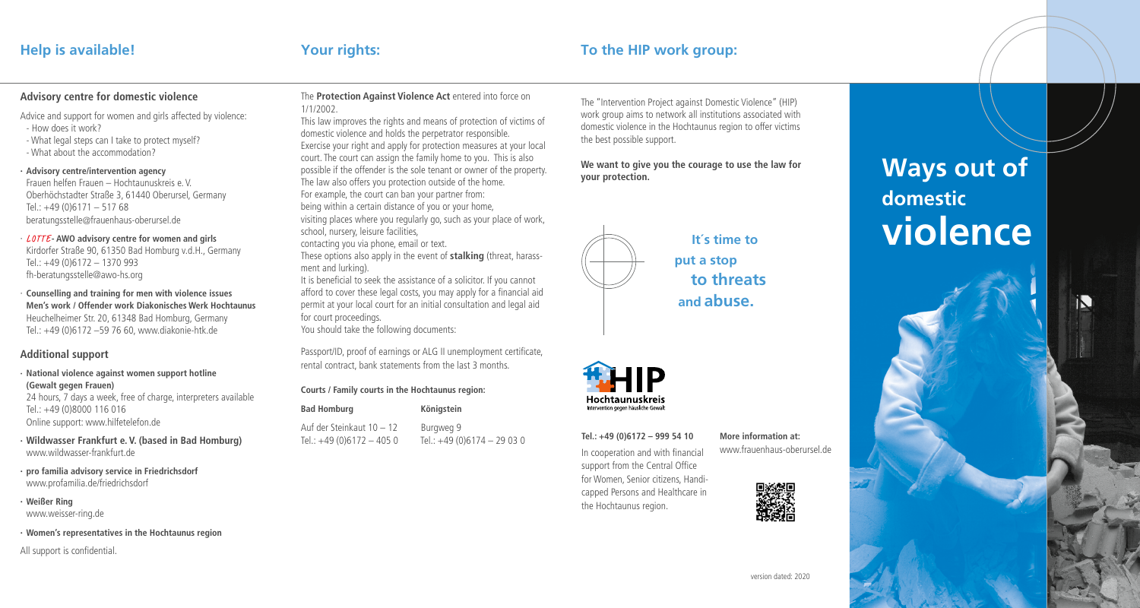## **Help is available! Your rights: To the HIP work group:**

## **Advisory centre for domestic violence**

Advice and support for women and girls affected by violence:

- How does it work?
- What legal steps can I take to protect myself? - What about the accommodation?

#### **· Advisory centre/intervention agency**

Frauen helfen Frauen – Hochtaunuskreis e. V. Oberhöchstadter Straße 3, 61440 Oberursel, Germany Tel.:  $+49(0)6171 - 51768$ beratungsstelle@frauenhaus-oberursel.de

· LOTTE **- AWO advisory centre for women and girls** Kirdorfer Straße 90, 61350 Bad Homburg v.d.H., Germany Tel.: +49 (0)6172 – 1370 993 fh-beratungsstelle@awo-hs.org

· **Counselling and training for men with violence issues Men's work / Offender work Diakonisches Werk Hochtaunus** Heuchelheimer Str. 20, 61348 Bad Homburg, Germany Tel.: +49 (0)6172 –59 76 60, www.diakonie-htk.de

#### **Additional support**

**· National violence against women support hotline (Gewalt gegen Frauen)**

24 hours, 7 days a week, free of charge, interpreters available Tel.: +49 (0)8000 116 016 Online support: www.hilfetelefon.de

- **· Wildwasser Frankfurt e. V. (based in Bad Homburg)** www.wildwasser-frankfurt.de
- **· pro familia advisory service in Friedrichsdorf** www.profamilia.de/friedrichsdorf
- **· Weißer Ring**

www.weisser-ring.de

**· Women's representatives in the Hochtaunus region**

All support is confidential.

#### The **Protection Against Violence Act** entered into force on 1/1/2002.

This law improves the rights and means of protection of victims of domestic violence and holds the perpetrator responsible. Exercise your right and apply for protection measures at your local court. The court can assign the family home to you. This is also possible if the offender is the sole tenant or owner of the property. The law also offers you protection outside of the home. For example, the court can ban your partner from: being within a certain distance of you or your home, visiting places where you regularly go, such as your place of work, school, nursery, leisure facilities,

contacting you via phone, email or text. These options also apply in the event of **stalking** (threat, harassment and lurking).

It is beneficial to seek the assistance of a solicitor. If you cannot afford to cover these legal costs, you may apply for a financial aid permit at your local court for an initial consultation and legal aid for court proceedings. You should take the following documents:

Passport/ID, proof of earnings or ALG II unemployment certificate, rental contract, bank statements from the last 3 months.

#### **Courts / Family courts in the Hochtaunus region:**

| <b>Bad Homburg</b>        | Königstein                 |
|---------------------------|----------------------------|
| Auf der Steinkaut 10 - 12 | Burgweg 9                  |
| Tel.: $+49(0)6172 - 4050$ | Tel.: $+49(0)6174 - 29030$ |

The "Intervention Project against Domestic Violence" (HIP) work group aims to network all institutions associated with domestic violence in the Hochtaunus region to offer victims the best possible support.

**We want to give you the courage to use the law for your protection.**



 **It´s time to put a stop to threats and abuse.**



In cooperation and with financial support from the Central Office for Women, Senior citizens, Handicapped Persons and Healthcare in

**Tel.: +49 (0)6172 – 999 54 10**

the Hochtaunus region.

**More information at:** www.frauenhaus-oberursel.de



# **Ways out of domestic violence**